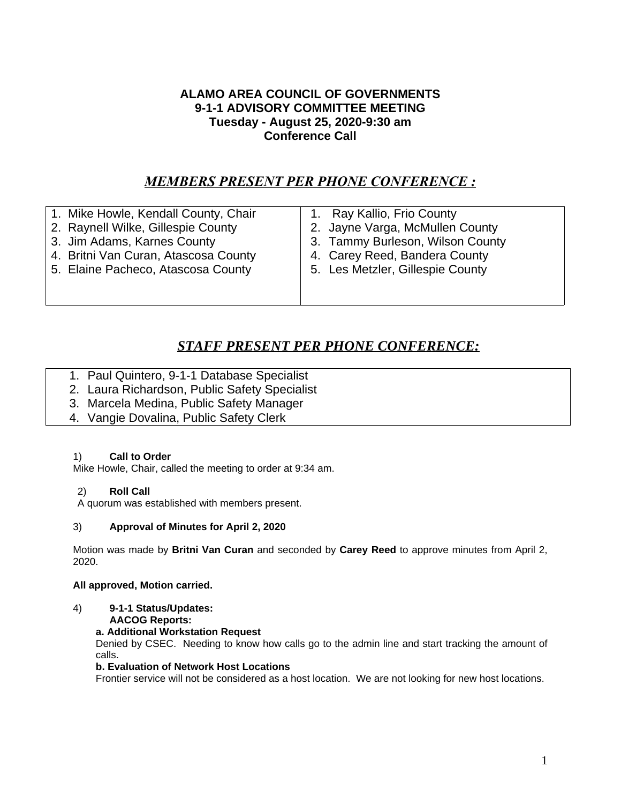## **ALAMO AREA COUNCIL OF GOVERNMENTS 9-1-1 ADVISORY COMMITTEE MEETING Tuesday - August 25, 2020-9:30 am Conference Call**

## *MEMBERS PRESENT PER PHONE CONFERENCE :*

| 1. Mike Howle, Kendall County, Chair | 1. Ray Kallio, Frio County       |
|--------------------------------------|----------------------------------|
| 2. Raynell Wilke, Gillespie County   | 2. Jayne Varga, McMullen County  |
| 3. Jim Adams, Karnes County          | 3. Tammy Burleson, Wilson County |
| 4. Britni Van Curan, Atascosa County | 4. Carey Reed, Bandera County    |
| 5. Elaine Pacheco, Atascosa County   | 5. Les Metzler, Gillespie County |
|                                      |                                  |
|                                      |                                  |

# *STAFF PRESENT PER PHONE CONFERENCE:*

- 1. Paul Quintero, 9-1-1 Database Specialist
- 2. Laura Richardson, Public Safety Specialist
- 3. Marcela Medina, Public Safety Manager
- 4. Vangie Dovalina, Public Safety Clerk

### 1) **Call to Order**

Mike Howle, Chair, called the meeting to order at 9:34 am.

## 2) **Roll Call**

A quorum was established with members present.

## 3) **Approval of Minutes for April 2, 2020**

Motion was made by **Britni Van Curan** and seconded by **Carey Reed** to approve minutes from April 2, 2020.

### **All approved, Motion carried.**

4) **9-1-1 Status/Updates:**

**AACOG Reports:**

## **a. Additional Workstation Request**

Denied by CSEC. Needing to know how calls go to the admin line and start tracking the amount of calls.

## **b. Evaluation of Network Host Locations**

Frontier service will not be considered as a host location. We are not looking for new host locations.